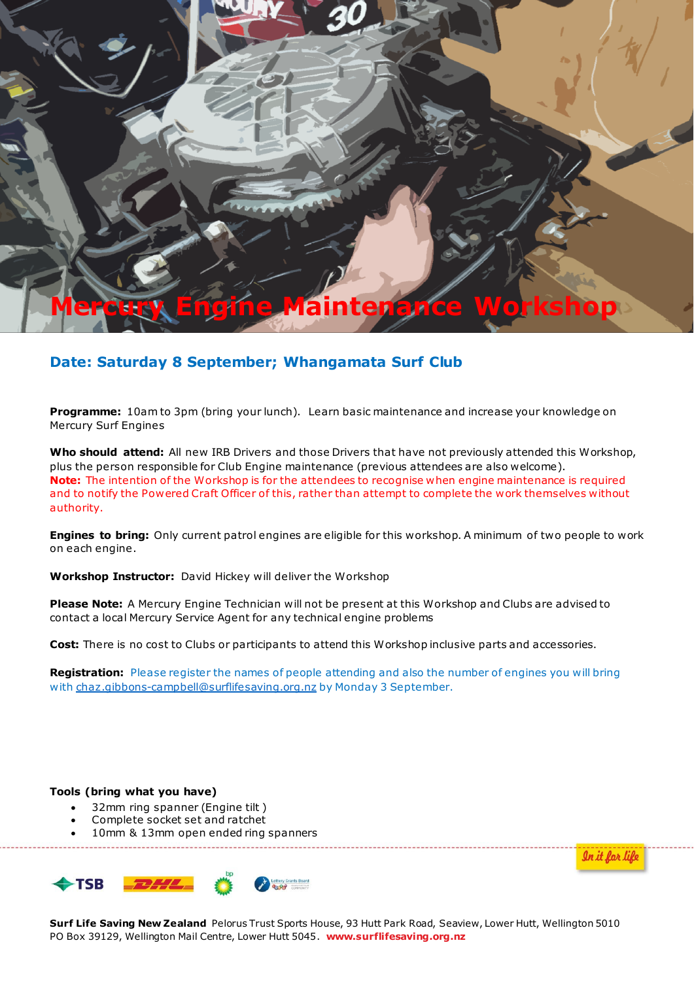

## **Date: Saturday 8 September; Whangamata Surf Club**

**Programme:** 10am to 3pm (bring your lunch). Learn basic maintenance and increase your knowledge on Mercury Surf Engines

**Who should attend:** All new IRB Drivers and those Drivers that have not previously attended this Workshop, plus the person responsible for Club Engine maintenance (previous attendees are also welcome). **Note:** The intention of the Workshop is for the attendees to recognise when engine maintenance is required and to notify the Powered Craft Officer of this, rather than attempt to complete the work themselves without authority.

**Engines to bring:** Only current patrol engines are eligible for this workshop. A minimum of two people to work on each engine.

**Workshop Instructor:** David Hickey will deliver the Workshop

**Please Note:** A Mercury Engine Technician will not be present at this Workshop and Clubs are advised to contact a local Mercury Service Agent for any technical engine problems

**Cost:** There is no cost to Clubs or participants to attend this Workshop inclusive parts and accessories.

**Registration:** Please register the names of people attending and also the number of engines you will bring with chaz.gibbons-campbell@surflifesaving.org.nz by Monday 3 September.

**Tools (bring what you have)**

- 32mm ring spanner (Engine tilt )
- Complete socket set and ratchet
- 10mm & 13mm open ended ring spanners



<u>In it for life</u>

**Surf Life Saving New Zealand** Pelorus Trust Sports House, 93 Hutt Park Road, Seaview, Lower Hutt, Wellington 5010 PO Box 39129, Wellington Mail Centre, Lower Hutt 5045. **www.surflifesaving.org.nz**